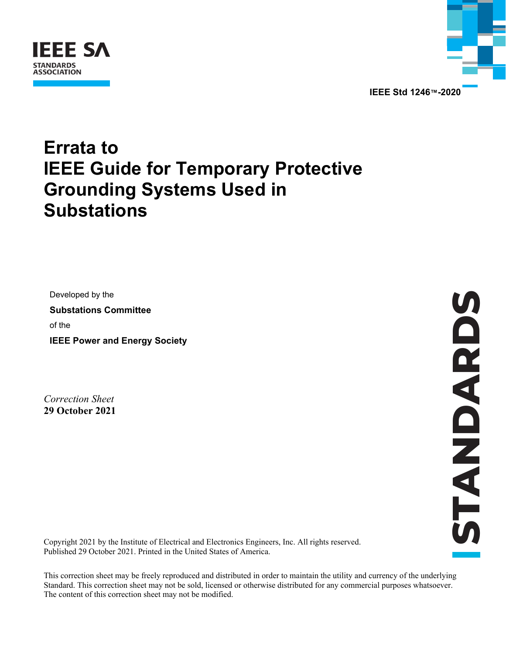



**IEEE Std 1246™-2020** 

## **Errata to IEEE Guide for Temporary Protective Grounding Systems Used in Substations**

Developed by the **Substations Committee**  of the **IEEE Power and Energy Society** 

*Correction Sheet*  **29 October 2021** 

Copyright 2021 by the Institute of Electrical and Electronics Engineers, Inc. All rights reserved. Published 29 October 2021. Printed in the United States of America.

This correction sheet may be freely reproduced and distributed in order to maintain the utility and currency of the underlying Standard. This correction sheet may not be sold, licensed or otherwise distributed for any commercial purposes whatsoever. The content of this correction sheet may not be modified.

**STANDARDS STANDARDS**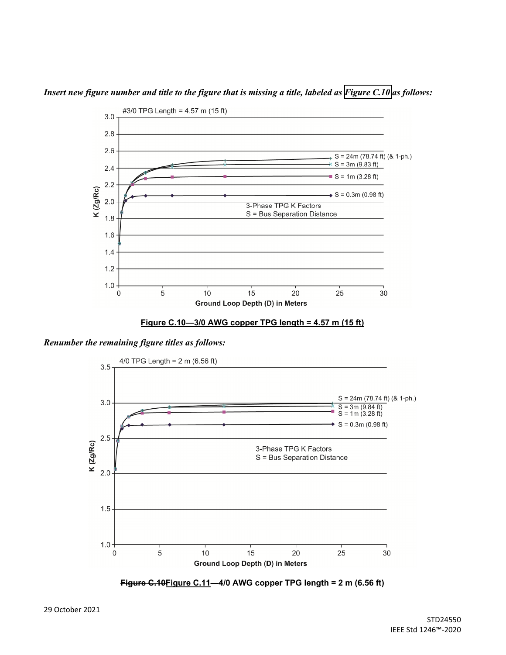

*Insert new figure number and title to the figure that is missing a title, labeled as Figure C.10 as follows:* 

**Figure C.10—3/0 AWG copper TPG length = 4.57 m (15 ft)** 

*Renumber the remaining figure titles as follows:* 



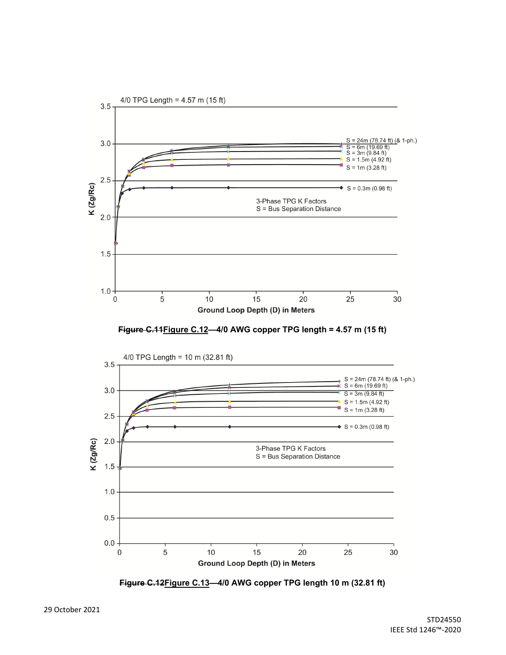

**Figure C.11Figure C.12—4/0 AWG copper TPG length = 4.57 m (15 ft)** 



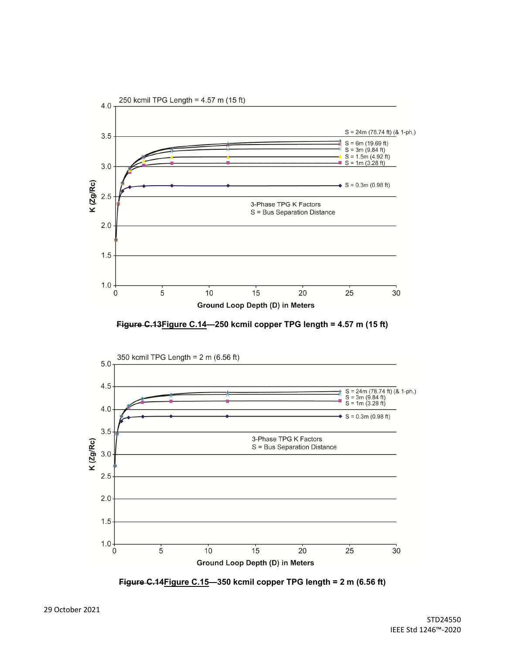





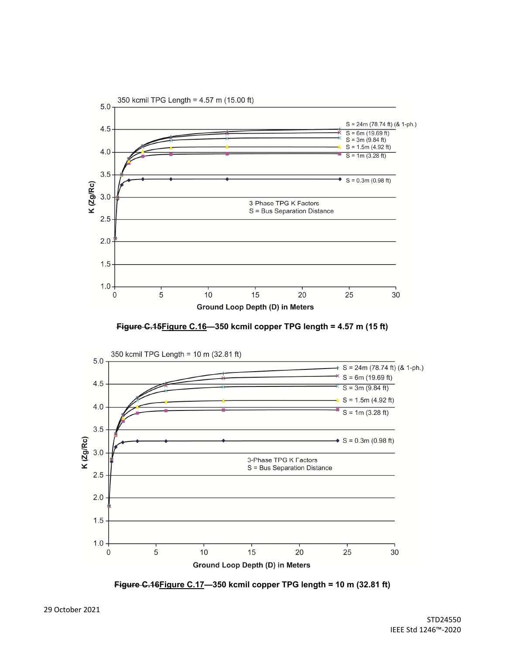





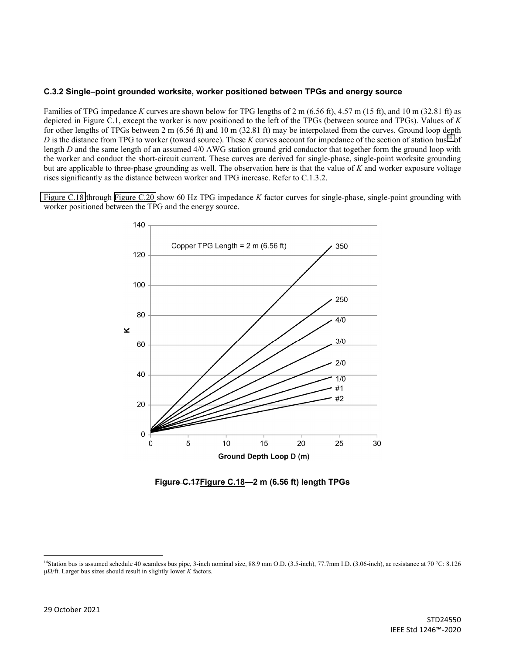## <span id="page-5-0"></span>**C.3.2 Single–point grounded worksite, worker positioned between TPGs and energy source**

Families of TPG impedance *K* curves are shown below for TPG lengths of 2 m (6.56 ft), 4.57 m (15 ft), and 10 m (32.81 ft) as depicted in Figure C.1, except the worker is now positioned to the left of the TPGs (between source and TPGs). Values of *K* for other lengths of TPGs between 2 m (6.56 ft) and 10 m (32.81 ft) may be interpolated from the curves. Ground loop depth *D* is the distance from TPG to worker (toward source). These *K* curves account for impedance of the section of station bus<sup>14</sup> of length *D* and the same length of an assumed 4/0 AWG station ground grid conductor that together form the ground loop with the worker and conduct the short-circuit current. These curves are derived for single-phase, single-point worksite grounding but are applicable to three-phase grounding as well. The observation here is that the value of *K* and worker exposure voltage rises significantly as the distance between worker and TPG increase. Refer to C.1.3.2.

Figure C.18 through [Figure C.20](#page-7-0) show 60 Hz TPG impedance *K* factor curves for single-phase, single-point grounding with worker positioned between the TPG and the energy source.





<sup>&</sup>lt;sup>14</sup>Station bus is assumed schedule 40 seamless bus pipe, 3-inch nominal size, 88.9 mm O.D. (3.5-inch), 77.7mm I.D. (3.06-inch), ac resistance at 70 °C: 8.126 µΩ/ft. Larger bus sizes should result in slightly lower *K* factors.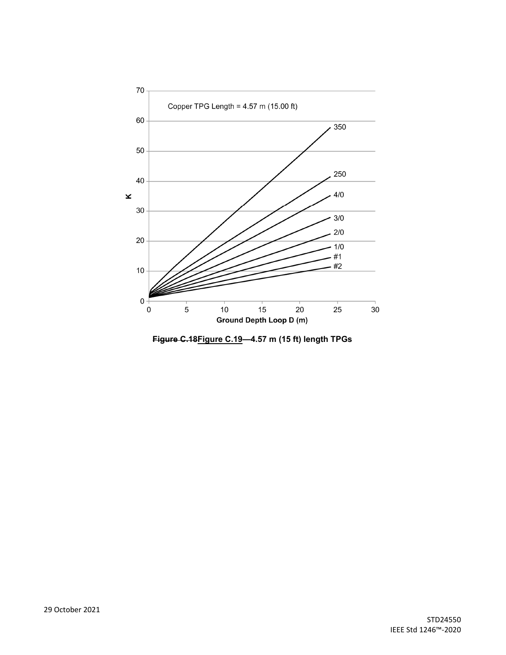

**Figure C.18Figure C.19—4.57 m (15 ft) length TPGs**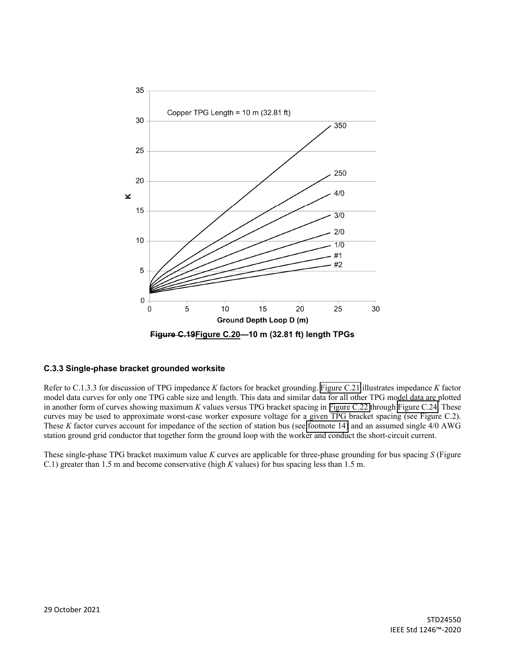<span id="page-7-0"></span>

## **C.3.3 Single-phase bracket grounded worksite**

Refer to C.1.3.3 for discussion of TPG impedance *K* factors for bracket grounding. [Figure C.21](#page-8-0) illustrates impedance *K* factor model data curves for only one TPG cable size and length. This data and similar data for all other TPG model data are plotted in another form of curves showing maximum *K* values versus TPG bracket spacing in [Figure C.22](#page-9-0) through [Figure C.24.](#page-10-0) These curves may be used to approximate worst-case worker exposure voltage for a given TPG bracket spacing (see Figure C.2). These *K* factor curves account for impedance of the section of station bus (see [footnote 14\)](#page-5-0) and an assumed single 4/0 AWG station ground grid conductor that together form the ground loop with the worker and conduct the short-circuit current.

These single-phase TPG bracket maximum value *K* curves are applicable for three-phase grounding for bus spacing *S* (Figure C.1) greater than 1.5 m and become conservative (high *K* values) for bus spacing less than 1.5 m.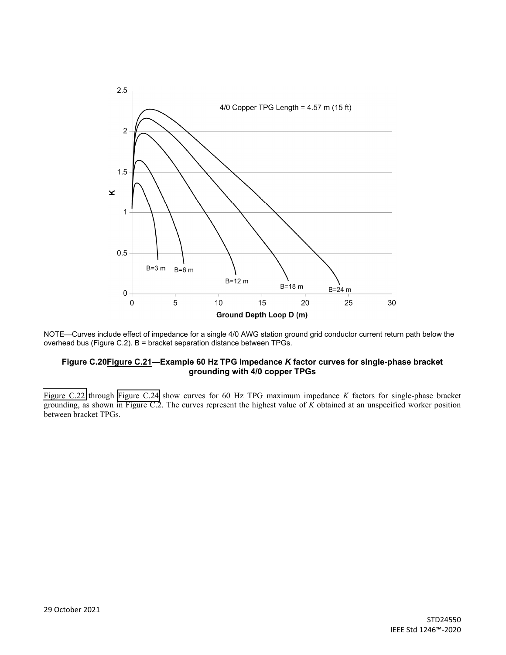<span id="page-8-0"></span>

NOTE—Curves include effect of impedance for a single 4/0 AWG station ground grid conductor current return path below the overhead bus (Figure C.2). B = bracket separation distance between TPGs.

## **Figure C.20Figure C.21—Example 60 Hz TPG Impedance** *K* **factor curves for single-phase bracket grounding with 4/0 copper TPGs**

[Figure C.22](#page-9-0) through [Figure C.24](#page-10-0) show curves for 60 Hz TPG maximum impedance *K* factors for single-phase bracket grounding, as shown in Figure C.2. The curves represent the highest value of *K* obtained at an unspecified worker position between bracket TPGs.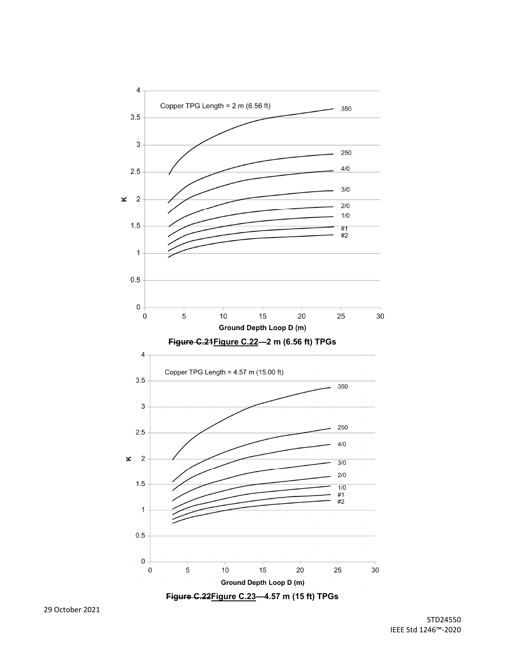

<span id="page-9-0"></span>